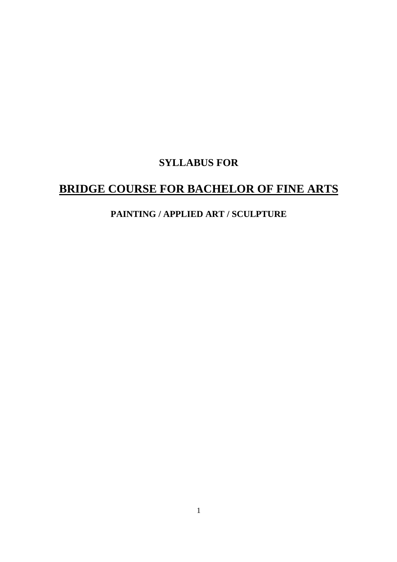## **SYLLABUS FOR**

# **BRIDGE COURSE FOR BACHELOR OF FINE ARTS**

## **PAINTING / APPLIED ART / SCULPTURE**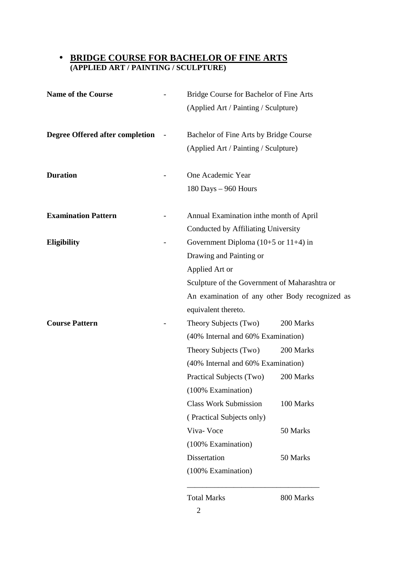## • **BRIDGE COURSE FOR BACHELOR OF FINE ARTS (APPLIED ART / PAINTING / SCULPTURE)**

| <b>Name of the Course</b>              | Bridge Course for Bachelor of Fine Arts |                                                 |                                    |  |  |
|----------------------------------------|-----------------------------------------|-------------------------------------------------|------------------------------------|--|--|
|                                        |                                         | (Applied Art / Painting / Sculpture)            |                                    |  |  |
|                                        |                                         |                                                 |                                    |  |  |
| <b>Degree Offered after completion</b> |                                         | Bachelor of Fine Arts by Bridge Course          |                                    |  |  |
|                                        |                                         | (Applied Art / Painting / Sculpture)            |                                    |  |  |
| <b>Duration</b>                        |                                         | One Academic Year                               |                                    |  |  |
|                                        |                                         | $180$ Days $-$ 960 Hours                        |                                    |  |  |
| <b>Examination Pattern</b>             |                                         | Annual Examination inthe month of April         |                                    |  |  |
|                                        |                                         | Conducted by Affiliating University             |                                    |  |  |
| <b>Eligibility</b>                     |                                         | Government Diploma $(10+5 \text{ or } 11+4)$ in |                                    |  |  |
|                                        |                                         | Drawing and Painting or                         |                                    |  |  |
|                                        |                                         | Applied Art or                                  |                                    |  |  |
|                                        |                                         | Sculpture of the Government of Maharashtra or   |                                    |  |  |
|                                        |                                         | An examination of any other Body recognized as  |                                    |  |  |
|                                        |                                         | equivalent thereto.                             |                                    |  |  |
| <b>Course Pattern</b>                  |                                         | Theory Subjects (Two)                           | 200 Marks                          |  |  |
|                                        |                                         |                                                 | (40% Internal and 60% Examination) |  |  |
|                                        |                                         | Theory Subjects (Two)                           | 200 Marks                          |  |  |
|                                        |                                         | (40% Internal and 60% Examination)              |                                    |  |  |
|                                        |                                         | Practical Subjects (Two)                        | 200 Marks                          |  |  |
|                                        |                                         | (100% Examination)                              |                                    |  |  |
|                                        |                                         | <b>Class Work Submission</b>                    | 100 Marks                          |  |  |
|                                        |                                         | (Practical Subjects only)                       |                                    |  |  |
|                                        |                                         | Viva-Voce                                       | 50 Marks                           |  |  |
|                                        |                                         | (100% Examination)                              |                                    |  |  |
|                                        |                                         | Dissertation                                    | 50 Marks                           |  |  |
|                                        |                                         | (100% Examination)                              |                                    |  |  |
|                                        |                                         |                                                 |                                    |  |  |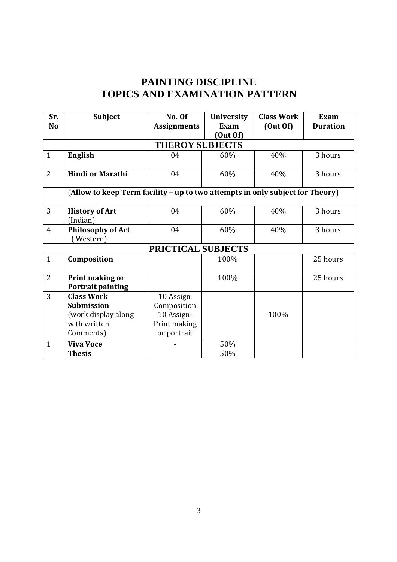# **PAINTING DISCIPLINE TOPICS AND EXAMINATION PATTERN**

| Sr.            | <b>Subject</b>                                                                | No. Of             | <b>University</b> | <b>Class Work</b> | Exam            |  |  |  |
|----------------|-------------------------------------------------------------------------------|--------------------|-------------------|-------------------|-----------------|--|--|--|
| N <sub>o</sub> |                                                                               | <b>Assignments</b> | Exam              | (Out Of)          | <b>Duration</b> |  |  |  |
|                |                                                                               |                    | (Out Of)          |                   |                 |  |  |  |
|                | <b>THEROY SUBJECTS</b>                                                        |                    |                   |                   |                 |  |  |  |
| $\mathbf{1}$   | <b>English</b>                                                                | 04                 | 60%               | 40%               | 3 hours         |  |  |  |
| $\overline{2}$ | <b>Hindi or Marathi</b>                                                       | 04                 | 60%               | 40%               | 3 hours         |  |  |  |
|                | (Allow to keep Term facility - up to two attempts in only subject for Theory) |                    |                   |                   |                 |  |  |  |
| 3              | <b>History of Art</b>                                                         | 04                 | 60%               | 40%               | 3 hours         |  |  |  |
| $\overline{4}$ | (Indian)<br><b>Philosophy of Art</b><br>Western)                              | 04                 | 60%               | 40%               | 3 hours         |  |  |  |
|                | PRICTICAL SUBJECTS                                                            |                    |                   |                   |                 |  |  |  |
| $\mathbf{1}$   | Composition                                                                   |                    | 100%              |                   | 25 hours        |  |  |  |
|                |                                                                               |                    |                   |                   |                 |  |  |  |
| $\overline{2}$ | Print making or                                                               |                    | 100%              |                   | 25 hours        |  |  |  |
|                | <b>Portrait painting</b>                                                      |                    |                   |                   |                 |  |  |  |
| 3              | <b>Class Work</b>                                                             | 10 Assign.         |                   |                   |                 |  |  |  |
|                | <b>Submission</b>                                                             | Composition        |                   |                   |                 |  |  |  |
|                | (work display along                                                           | 10 Assign-         |                   | 100%              |                 |  |  |  |
|                | with written                                                                  | Print making       |                   |                   |                 |  |  |  |
|                | Comments)                                                                     | or portrait        |                   |                   |                 |  |  |  |
| $\mathbf{1}$   | <b>Viva Voce</b>                                                              |                    | 50%               |                   |                 |  |  |  |
|                | <b>Thesis</b>                                                                 |                    | 50%               |                   |                 |  |  |  |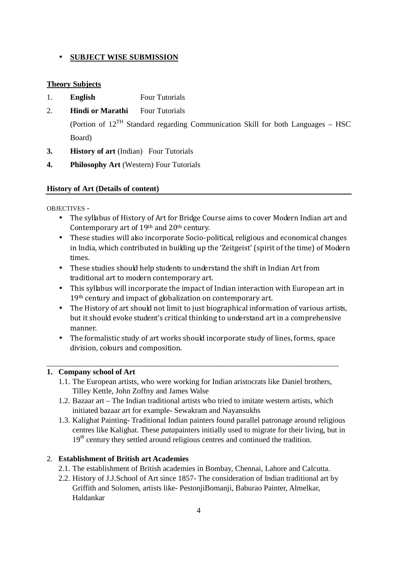## • **SUBJECT WISE SUBMISSION**

#### **Theory Subjects**

- 1. **English** Four Tutorials
- 2. **Hindi or Marathi** Four Tutorials

(Portion of  $12^{TH}$  Standard regarding Communication Skill for both Languages – HSC Board)

- **3. History of art** (Indian) Four Tutorials
- **4. Philosophy Art** (Western) Four Tutorials

### **History of Art (Details of content)**

OBJECTIVES -

- The syllabus of History of Art for Bridge Course aims to cover Modern Indian art and Contemporary art of 19th and 20th century.
- These studies will also incorporate Socio-political, religious and economical changes in India, which contributed in building up the 'Zeitgeist' (spirit of the time) of Modern times.
- These studies should help students to understand the shift in Indian Art from traditional art to modern contemporary art.
- This syllabus will incorporate the impact of Indian interaction with European art in 19<sup>th</sup> century and impact of globalization on contemporary art.
- The History of art should not limit to just biographical information of various artists, but it should evoke student's critical thinking to understand art in a comprehensive manner.
- The formalistic study of art works should incorporate study of lines, forms, space division, colours and composition.

#### **1. Company school of Art**

1.1. The European artists, who were working for Indian aristocrats like Daniel brothers, Tilley Kettle, John Zoffny and James Walse

\_\_\_\_\_\_\_\_\_\_\_\_\_\_\_\_\_\_\_\_\_\_\_\_\_\_\_\_\_\_\_\_\_\_\_\_\_\_\_\_\_\_\_\_\_\_\_\_\_\_\_\_\_\_\_\_\_\_\_\_\_\_\_\_\_\_\_\_\_\_\_\_\_\_\_

- 1.2. Bazaar art The Indian traditional artists who tried to imitate western artists, which initiated bazaar art for example- Sewakram and Nayansukhs
- 1.3. Kalighat Painting- Traditional Indian painters found parallel patronage around religious centres like Kalighat. These *pata*painters initially used to migrate for their living, but in  $19<sup>th</sup>$  century they settled around religious centres and continued the tradition.

## 2. **Establishment of British art Academies**

- 2.1. The establishment of British academies in Bombay, Chennai, Lahore and Calcutta.
- 2.2. History of J.J.School of Art since 1857- The consideration of Indian traditional art by Griffith and Solomen, artists like- PestonjiBomanji, Baburao Painter, Almelkar, Haldankar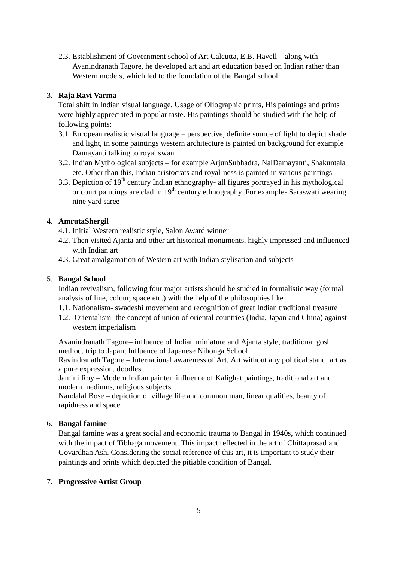2.3. Establishment of Government school of Art Calcutta, E.B. Havell – along with Avanindranath Tagore, he developed art and art education based on Indian rather than Western models, which led to the foundation of the Bangal school.

#### 3. **Raja Ravi Varma**

Total shift in Indian visual language, Usage of Oliographic prints, His paintings and prints were highly appreciated in popular taste. His paintings should be studied with the help of following points:

- 3.1. European realistic visual language perspective, definite source of light to depict shade and light, in some paintings western architecture is painted on background for example Damayanti talking to royal swan
- 3.2. Indian Mythological subjects for example ArjunSubhadra, NalDamayanti, Shakuntala etc. Other than this, Indian aristocrats and royal-ness is painted in various paintings
- 3.3. Depiction of  $19<sup>th</sup>$  century Indian ethnography- all figures portrayed in his mythological or court paintings are clad in 19th century ethnography. For example- Saraswati wearing nine yard saree

### 4. **AmrutaShergil**

- 4.1. Initial Western realistic style, Salon Award winner
- 4.2. Then visited Ajanta and other art historical monuments, highly impressed and influenced with Indian art
- 4.3. Great amalgamation of Western art with Indian stylisation and subjects

#### 5. **Bangal School**

Indian revivalism, following four major artists should be studied in formalistic way (formal analysis of line, colour, space etc.) with the help of the philosophies like

- 1.1. Nationalism- swadeshi movement and recognition of great Indian traditional treasure
- 1.2. Orientalism- the concept of union of oriental countries (India, Japan and China) against western imperialism

Avanindranath Tagore– influence of Indian miniature and Ajanta style, traditional gosh method, trip to Japan, Influence of Japanese Nihonga School

Ravindranath Tagore – International awareness of Art, Art without any political stand, art as a pure expression, doodles

Jamini Roy – Modern Indian painter, influence of Kalighat paintings, traditional art and modern mediums, religious subjects

Nandalal Bose – depiction of village life and common man, linear qualities, beauty of rapidness and space

#### 6. **Bangal famine**

Bangal famine was a great social and economic trauma to Bangal in 1940s, which continued with the impact of Tibhaga movement. This impact reflected in the art of Chittaprasad and Govardhan Ash. Considering the social reference of this art, it is important to study their paintings and prints which depicted the pitiable condition of Bangal.

#### 7. **Progressive Artist Group**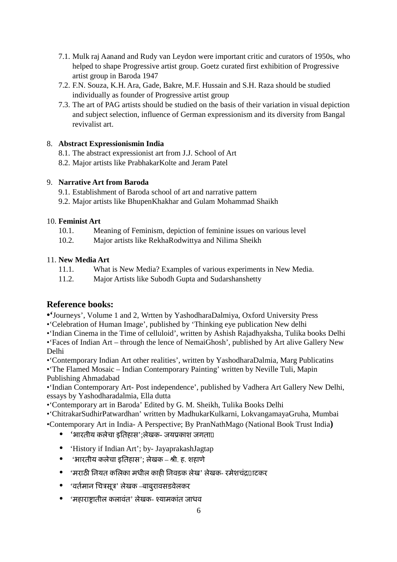- 7.1. Mulk raj Aanand and Rudy van Leydon were important critic and curators of 1950s, who helped to shape Progressive artist group. Goetz curated first exhibition of Progressive artist group in Baroda 1947
- 7.2. F.N. Souza, K.H. Ara, Gade, Bakre, M.F. Hussain and S.H. Raza should be studied individually as founder of Progressive artist group
- 7.3. The art of PAG artists should be studied on the basis of their variation in visual depiction and subject selection, influence of German expressionism and its diversity from Bangal revivalist art.

## 8. **Abstract Expressionismin India**

- 8.1. The abstract expressionist art from J.J. School of Art
- 8.2. Major artists like PrabhakarKolte and Jeram Patel

## 9. **Narrative Art from Baroda**

- 9.1. Establishment of Baroda school of art and narrative pattern
- 9.2. Major artists like BhupenKhakhar and Gulam Mohammad Shaikh

## 10. **Feminist Art**

- 10.1. Meaning of Feminism, depiction of feminine issues on various level
- 10.2. Major artists like RekhaRodwittya and Nilima Sheikh

## 11. **New Media Art**

- 11.1. What is New Media? Examples of various experiments in New Media.
- 11.2. Major Artists like Subodh Gupta and Sudarshanshetty

## **Reference books:**

**•'**Journeys', Volume 1 and 2, Wrtten by YashodharaDalmiya, Oxford University Press

- •'Celebration of Human Image', published by 'Thinking eye publication New delhi
- •'Indian Cinema in the Time of celluloid', written by Ashish Rajadhyaksha, Tulika books Delhi

•'Faces of Indian Art – through the lence of NemaiGhosh', published by Art alive Gallery New Delhi

•'Contemporary Indian Art other realities', written by YashodharaDalmia, Marg Publicatins

•'The Flamed Mosaic – Indian Contemporary Painting' written by Neville Tuli, Mapin Publishing Ahmadabad

•'Indian Contemporary Art- Post independence', published by Vadhera Art Gallery New Delhi, essays by Yashodharadalmia, Ella dutta

- •'Contemporary art in Baroda' Edited by G. M. Sheikh, Tulika Books Delhi
- •'ChitrakarSudhirPatwardhan' written by MadhukarKulkarni, LokvangamayaGruha, Mumbai

•Contemporary Art in India- A Perspective; By PranNathMago (National Book Trust India**)** 

- 'भारतीय कलेचा इितहास';लेखक- जयूकाश जगताप
- 'History if Indian Art'; by- JayaprakashJagtap
- 'भारतीय कलेचा इितहास'; लेखक ौी. ह. शहाणे
- 'मराठी नियत कलिका मधील काही निवडक लेख' लेखक- रमेशचंद∏ाटकर
- 'वर्तमान चित्रसूत्र' लेखक –बाबुरावसडवेलकर
- 'महाराष्ट्रातील कलावंत' लेखक- श्यामकांत जाधव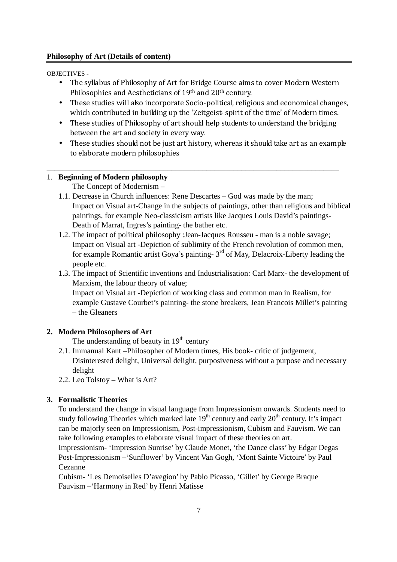#### **Philosophy of Art (Details of content)**

OBJECTIVES -

- The syllabus of Philosophy of Art for Bridge Course aims to cover Modern Western Philosophies and Aestheticians of 19th and 20th century.
- These studies will also incorporate Socio-political, religious and economical changes, which contributed in building up the 'Zeitgeist- spirit of the time' of Modern times.
- These studies of Philosophy of art should help students to understand the bridging between the art and society in every way.

\_\_\_\_\_\_\_\_\_\_\_\_\_\_\_\_\_\_\_\_\_\_\_\_\_\_\_\_\_\_\_\_\_\_\_\_\_\_\_\_\_\_\_\_\_\_\_\_\_\_\_\_\_\_\_\_\_\_\_\_\_\_\_\_\_\_\_\_\_\_\_\_\_\_\_

• These studies should not be just art history, whereas it should take art as an example to elaborate modern philosophies

### 1. **Beginning of Modern philosophy**

The Concept of Modernism –

- 1.1. Decrease in Church influences: Rene Descartes God was made by the man; Impact on Visual art-Change in the subjects of paintings, other than religious and biblical paintings, for example Neo-classicism artists like Jacques Louis David's paintings-Death of Marrat, Ingres's painting- the bather etc.
- 1.2. The impact of political philosophy :Jean-Jacques Rousseu man is a noble savage; Impact on Visual art -Depiction of sublimity of the French revolution of common men, for example Romantic artist Goya's painting- $3<sup>rd</sup>$  of May, Delacroix-Liberty leading the people etc.
- 1.3. The impact of Scientific inventions and Industrialisation: Carl Marx- the development of Marxism, the labour theory of value;

Impact on Visual art -Depiction of working class and common man in Realism, for example Gustave Courbet's painting- the stone breakers, Jean Francois Millet's painting – the Gleaners

#### **2. Modern Philosophers of Art**

The understanding of beauty in  $19<sup>th</sup>$  century

- 2.1. Immanual Kant –Philosopher of Modern times, His book- critic of judgement, Disinterested delight, Universal delight, purposiveness without a purpose and necessary delight
- 2.2. Leo Tolstoy What is Art?

#### **3. Formalistic Theories**

To understand the change in visual language from Impressionism onwards. Students need to study following Theories which marked late  $19<sup>th</sup>$  century and early  $20<sup>th</sup>$  century. It's impact can be majorly seen on Impressionism, Post-impressionism, Cubism and Fauvism. We can take following examples to elaborate visual impact of these theories on art.

Impressionism- 'Impression Sunrise' by Claude Monet, 'the Dance class' by Edgar Degas Post-Impressionism –'Sunflower' by Vincent Van Gogh, 'Mont Sainte Victoire' by Paul Cezanne

Cubism- 'Les Demoiselles D'avegion' by Pablo Picasso, 'Gillet' by George Braque Fauvism –'Harmony in Red' by Henri Matisse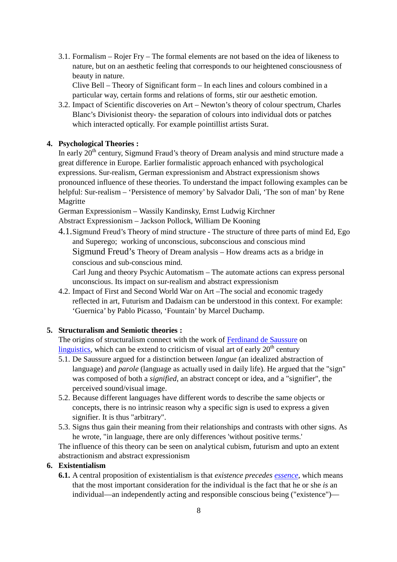3.1. Formalism – Rojer Fry – The formal elements are not based on the idea of likeness to nature, but on an aesthetic feeling that corresponds to our heightened consciousness of beauty in nature.

Clive Bell – Theory of Significant form – In each lines and colours combined in a particular way, certain forms and relations of forms, stir our aesthetic emotion.

3.2. Impact of Scientific discoveries on Art – Newton's theory of colour spectrum, Charles Blanc's Divisionist theory- the separation of colours into individual dots or patches which interacted optically. For example pointillist artists Surat.

## **4. Psychological Theories :**

In early  $20<sup>th</sup>$  century, Sigmund Fraud's theory of Dream analysis and mind structure made a great difference in Europe. Earlier formalistic approach enhanced with psychological expressions. Sur-realism, German expressionism and Abstract expressionism shows pronounced influence of these theories. To understand the impact following examples can be helpful: Sur-realism – 'Persistence of memory' by Salvador Dali, 'The son of man' by Rene Magritte

German Expressionism – Wassily Kandinsky, Ernst Ludwig Kirchner

Abstract Expressionism – Jackson Pollock, William De Kooning

4.1.Sigmund Freud's Theory of mind structure - The structure of three parts of mind Ed, Ego and Superego; working of unconscious, subconscious and conscious mind Sigmund Freud's Theory of Dream analysis – How dreams acts as a bridge in conscious and sub-conscious mind.

Carl Jung and theory Psychic Automatism – The automate actions can express personal unconscious. Its impact on sur-realism and abstract expressionism

4.2. Impact of First and Second World War on Art –The social and economic tragedy reflected in art, Futurism and Dadaism can be understood in this context. For example: 'Guernica' by Pablo Picasso, 'Fountain' by Marcel Duchamp.

#### **5. Structuralism and Semiotic theories :**

The origins of structuralism connect with the work of Ferdinand de Saussure on linguistics, which can be extend to criticism of visual art of early  $20<sup>th</sup>$  century

- 5.1. De Saussure argued for a distinction between *langue* (an idealized abstraction of language) and *parole* (language as actually used in daily life). He argued that the "sign" was composed of both a *signified*, an abstract concept or idea, and a "signifier", the perceived sound/visual image.
- 5.2. Because different languages have different words to describe the same objects or concepts, there is no intrinsic reason why a specific sign is used to express a given signifier. It is thus "arbitrary".
- 5.3. Signs thus gain their meaning from their relationships and contrasts with other signs. As he wrote, "in language, there are only differences 'without positive terms.'

The influence of this theory can be seen on analytical cubism, futurism and upto an extent abstractionism and abstract expressionism

#### **6. Existentialism**

**6.1.** A central proposition of existentialism is that *existence precedes essence*, which means that the most important consideration for the individual is the fact that he or she *is* an individual—an independently acting and responsible conscious being ("existence")—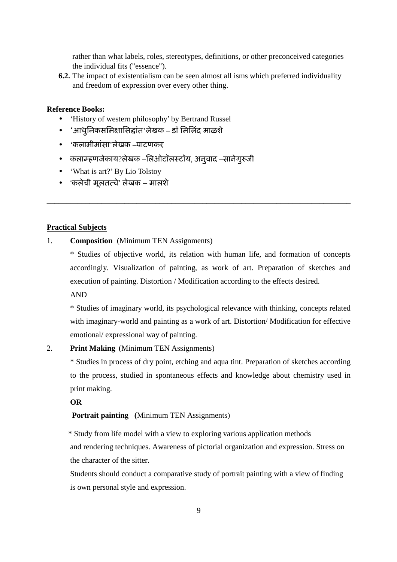rather than what labels, roles, stereotypes, definitions, or other preconceived categories the individual fits ("essence").

**6.2.** The impact of existentialism can be seen almost all isms which preferred individuality and freedom of expression over every other thing.

\_\_\_\_\_\_\_\_\_\_\_\_\_\_\_\_\_\_\_\_\_\_\_\_\_\_\_\_\_\_\_\_\_\_\_\_\_\_\_\_\_\_\_\_\_\_\_\_\_\_\_\_\_\_\_\_\_\_\_\_\_\_\_\_\_\_\_\_\_\_\_\_\_\_\_\_\_\_

#### **Reference Books:**

- 'History of western philosophy' by Bertrand Russel
- 'आधुनिकसमिक्षासिद्धांत'लेखक डॉ मिलिंद माळशे
- 'कलामीमांसा'लेखक –पाटणकर
- कलाम्हणजेकाय?लेखक –लिओटॉलस्टॉय, अनुवाद –सानेगुरुजी
- 'What is art?' By Lio Tolstoy
- 'कलेची मूलतत्वे' लेखक मालशे

#### **Practical Subjects**

#### 1. **Composition** (Minimum TEN Assignments)

\* Studies of objective world, its relation with human life, and formation of concepts accordingly. Visualization of painting, as work of art. Preparation of sketches and execution of painting. Distortion / Modification according to the effects desired.

AND

\* Studies of imaginary world, its psychological relevance with thinking, concepts related with imaginary-world and painting as a work of art. Distortion/ Modification for effective emotional/ expressional way of painting.

#### 2. **Print Making** (Minimum TEN Assignments)

\* Studies in process of dry point, etching and aqua tint. Preparation of sketches according to the process, studied in spontaneous effects and knowledge about chemistry used in print making.

#### **OR**

#### **Portrait painting (**Minimum TEN Assignments)

 \* Study from life model with a view to exploring various application methods and rendering techniques. Awareness of pictorial organization and expression. Stress on the character of the sitter.

 Students should conduct a comparative study of portrait painting with a view of finding is own personal style and expression.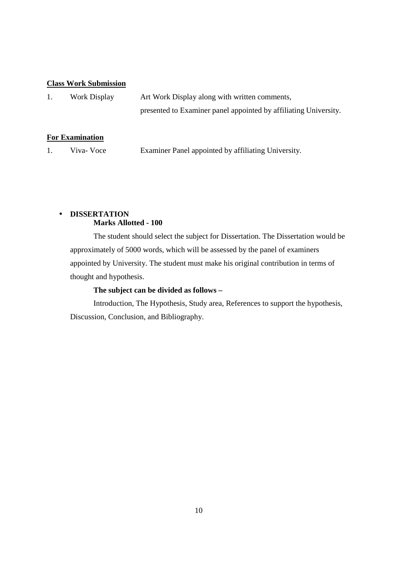#### **Class Work Submission**

| Work Display | Art Work Display along with written comments,                    |
|--------------|------------------------------------------------------------------|
|              | presented to Examiner panel appointed by affiliating University. |

#### **For Examination**

|  | Viva-Voce | Examiner Panel appointed by affiliating University. |
|--|-----------|-----------------------------------------------------|
|--|-----------|-----------------------------------------------------|

## • **DISSERTATION Marks Allotted - 100**

The student should select the subject for Dissertation. The Dissertation would be approximately of 5000 words, which will be assessed by the panel of examiners appointed by University. The student must make his original contribution in terms of thought and hypothesis.

#### **The subject can be divided as follows –**

Introduction, The Hypothesis, Study area, References to support the hypothesis, Discussion, Conclusion, and Bibliography.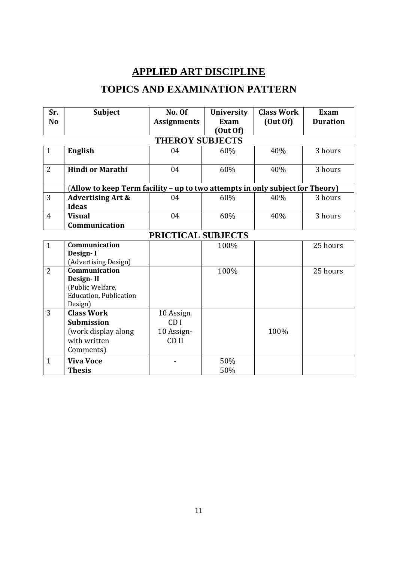# **APPLIED ART DISCIPLINE**

# **TOPICS AND EXAMINATION PATTERN**

| Sr.<br>N <sub>o</sub> | <b>Subject</b>                                                                | No. Of                 | <b>University</b><br>Exam | <b>Class Work</b> | Exam<br><b>Duration</b> |  |  |
|-----------------------|-------------------------------------------------------------------------------|------------------------|---------------------------|-------------------|-------------------------|--|--|
|                       |                                                                               | <b>Assignments</b>     | (Out Of)                  | (Out Of)          |                         |  |  |
|                       |                                                                               | <b>THEROY SUBJECTS</b> |                           |                   |                         |  |  |
| $\mathbf{1}$          | <b>English</b>                                                                | 04                     | 60%                       | 40%               | 3 hours                 |  |  |
| $\overline{2}$        | <b>Hindi or Marathi</b>                                                       | 04                     | 60%                       | 40%               | 3 hours                 |  |  |
|                       | (Allow to keep Term facility - up to two attempts in only subject for Theory) |                        |                           |                   |                         |  |  |
| 3                     | <b>Advertising Art &amp;</b>                                                  | 04                     | 60%                       | 40%               | 3 hours                 |  |  |
|                       | <b>Ideas</b>                                                                  |                        |                           |                   |                         |  |  |
| $\overline{4}$        | <b>Visual</b>                                                                 | 04                     | 60%                       | 40%               | 3 hours                 |  |  |
|                       | Communication                                                                 |                        |                           |                   |                         |  |  |
|                       |                                                                               | PRICTICAL SUBJECTS     |                           |                   |                         |  |  |
| $\mathbf{1}$          | Communication                                                                 |                        | 100%                      |                   | 25 hours                |  |  |
|                       | Design-I                                                                      |                        |                           |                   |                         |  |  |
| $\overline{2}$        | (Advertising Design)<br>Communication                                         |                        |                           |                   |                         |  |  |
|                       | Design-II                                                                     |                        | 100%                      |                   | 25 hours                |  |  |
|                       | (Public Welfare,                                                              |                        |                           |                   |                         |  |  |
|                       | <b>Education</b> , Publication                                                |                        |                           |                   |                         |  |  |
|                       | Design)                                                                       |                        |                           |                   |                         |  |  |
| 3                     | <b>Class Work</b>                                                             | 10 Assign.             |                           |                   |                         |  |  |
|                       | <b>Submission</b>                                                             | CD <sub>I</sub>        |                           |                   |                         |  |  |
|                       | (work display along                                                           | 10 Assign-             |                           | 100%              |                         |  |  |
|                       | with written                                                                  | CD <sub>II</sub>       |                           |                   |                         |  |  |
|                       | Comments)                                                                     |                        |                           |                   |                         |  |  |
| $\mathbf{1}$          | <b>Viva Voce</b>                                                              |                        | 50%                       |                   |                         |  |  |
|                       | <b>Thesis</b>                                                                 |                        | 50%                       |                   |                         |  |  |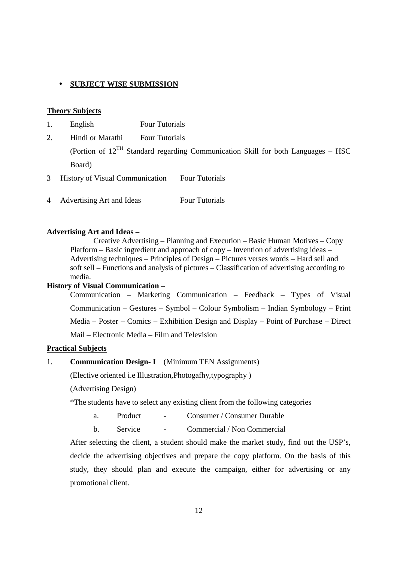#### • **SUBJECT WISE SUBMISSION**

#### **Theory Subjects**

- 1. English Four Tutorials
- 2. Hindi or Marathi Four Tutorials

(Portion of  $12^{TH}$  Standard regarding Communication Skill for both Languages – HSC Board)

- 3 History of Visual Communication Four Tutorials
- 4 Advertising Art and Ideas Four Tutorials

#### **Advertising Art and Ideas –**

Creative Advertising – Planning and Execution – Basic Human Motives – Copy Platform – Basic ingredient and approach of copy – Invention of advertising ideas – Advertising techniques – Principles of Design – Pictures verses words – Hard sell and soft sell – Functions and analysis of pictures – Classification of advertising according to media.

#### **History of Visual Communication –**

Communication – Marketing Communication – Feedback – Types of Visual Communication – Gestures – Symbol – Colour Symbolism – Indian Symbology – Print Media – Poster – Comics – Exhibition Design and Display – Point of Purchase – Direct Mail – Electronic Media – Film and Television

#### **Practical Subjects**

#### 1. **Communication Design- I** (Minimum TEN Assignments)

(Elective oriented i.e Illustration,Photogafhy,typography )

(Advertising Design)

\*The students have to select any existing client from the following categories

- a. Product Consumer / Consumer Durable
- b. Service Commercial / Non Commercial

 After selecting the client, a student should make the market study, find out the USP's, decide the advertising objectives and prepare the copy platform. On the basis of this study, they should plan and execute the campaign, either for advertising or any promotional client.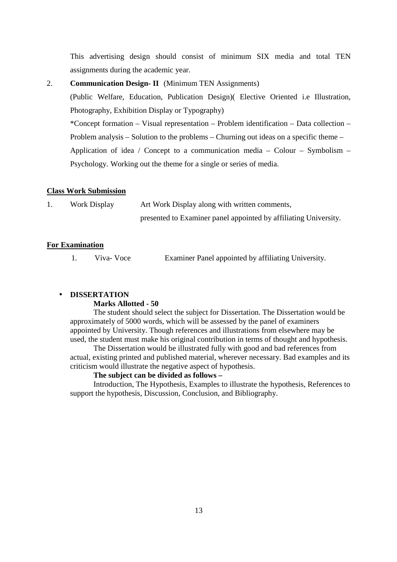This advertising design should consist of minimum SIX media and total TEN assignments during the academic year.

#### 2. **Communication Design- II** (Minimum TEN Assignments)

(Public Welfare, Education, Publication Design)( Elective Oriented i.e Illustration, Photography, Exhibition Display or Typography)

\*Concept formation – Visual representation – Problem identification – Data collection – Problem analysis – Solution to the problems – Churning out ideas on a specific theme – Application of idea / Concept to a communication media – Colour – Symbolism – Psychology. Working out the theme for a single or series of media.

#### **Class Work Submission**

1. Work Display Art Work Display along with written comments, presented to Examiner panel appointed by affiliating University.

#### **For Examination**

1. Viva- Voce Examiner Panel appointed by affiliating University.

#### • **DISSERTATION**

#### **Marks Allotted - 50**

The student should select the subject for Dissertation. The Dissertation would be approximately of 5000 words, which will be assessed by the panel of examiners appointed by University. Though references and illustrations from elsewhere may be used, the student must make his original contribution in terms of thought and hypothesis.

The Dissertation would be illustrated fully with good and bad references from actual, existing printed and published material, wherever necessary. Bad examples and its criticism would illustrate the negative aspect of hypothesis.

#### **The subject can be divided as follows –**

Introduction, The Hypothesis, Examples to illustrate the hypothesis, References to support the hypothesis, Discussion, Conclusion, and Bibliography.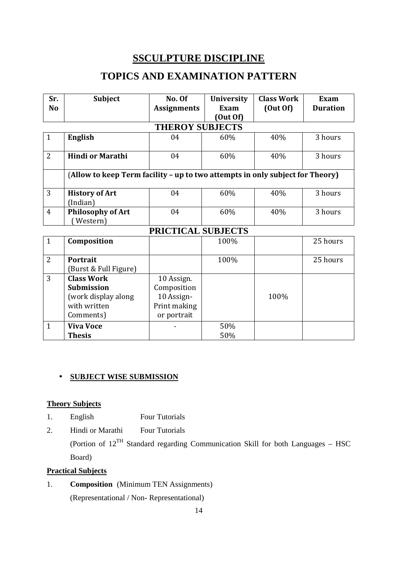## **SSCULPTURE DISCIPLINE**

# **TOPICS AND EXAMINATION PATTERN**

| Sr.            | <b>Subject</b>                                                                             | No. Of                                                                 | <b>University</b> | <b>Class Work</b> | Exam            |  |  |  |
|----------------|--------------------------------------------------------------------------------------------|------------------------------------------------------------------------|-------------------|-------------------|-----------------|--|--|--|
| N <sub>o</sub> |                                                                                            | <b>Assignments</b>                                                     | Exam              | (Out Of)          | <b>Duration</b> |  |  |  |
|                |                                                                                            |                                                                        | (Out Of)          |                   |                 |  |  |  |
|                | <b>THEROY SUBJECTS</b>                                                                     |                                                                        |                   |                   |                 |  |  |  |
| $\mathbf{1}$   | <b>English</b>                                                                             | 04                                                                     | 60%               | 40%               | 3 hours         |  |  |  |
| $\overline{2}$ | <b>Hindi or Marathi</b>                                                                    | 04                                                                     | 60%               | 40%               | 3 hours         |  |  |  |
|                | (Allow to keep Term facility - up to two attempts in only subject for Theory)              |                                                                        |                   |                   |                 |  |  |  |
| 3              | <b>History of Art</b><br>(Indian)                                                          | 04                                                                     | 60%               | 40%               | 3 hours         |  |  |  |
| $\overline{4}$ | <b>Philosophy of Art</b><br>Western)                                                       | 04                                                                     | 60%               | 40%               | 3 hours         |  |  |  |
|                | PRICTICAL SUBJECTS                                                                         |                                                                        |                   |                   |                 |  |  |  |
| $\mathbf{1}$   | Composition                                                                                |                                                                        | 100%              |                   | 25 hours        |  |  |  |
| $\overline{2}$ | Portrait<br>(Burst & Full Figure)                                                          |                                                                        | 100%              |                   | 25 hours        |  |  |  |
| 3              | <b>Class Work</b><br><b>Submission</b><br>(work display along<br>with written<br>Comments) | 10 Assign.<br>Composition<br>10 Assign-<br>Print making<br>or portrait |                   | 100%              |                 |  |  |  |
| $\mathbf{1}$   | <b>Viva Voce</b><br><b>Thesis</b>                                                          |                                                                        | 50%<br>50%        |                   |                 |  |  |  |

## • **SUBJECT WISE SUBMISSION**

## **Theory Subjects**

- 1. English Four Tutorials
- 2. Hindi or Marathi Four Tutorials

(Portion of  $12^{TH}$  Standard regarding Communication Skill for both Languages – HSC Board)

#### **Practical Subjects**

1. **Composition** (Minimum TEN Assignments) (Representational / Non- Representational)